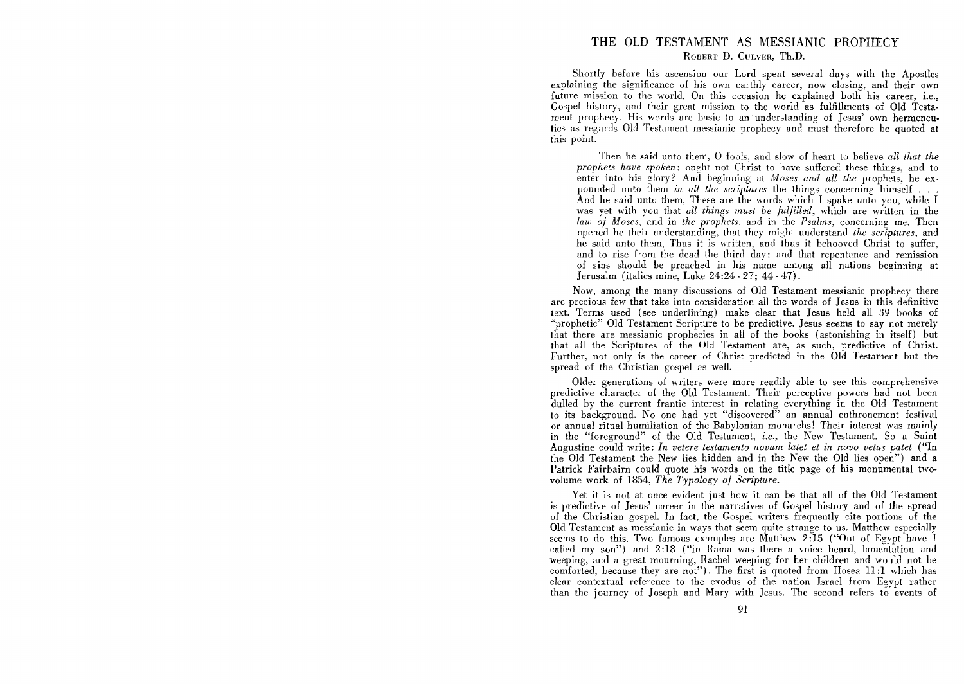## THE OLD TESTAMENT AS MESSIANIC PROPHECY ROBERT D. CULVER, Th.D.

Shortly before his ascension our Lord spent several days with the Apostles explaining the significance of his own earthly career, now closing, and their own future mission to the world. On this occasion he explained both his career, i.e., Gospel history, and their great mission to the world as fulfillments of Old Testament prophecy. His words are basic to an understanding of Jesus' own hermeneutics as regards Old Testament messianic prophecy and must therefore be quoted at this point.

Then he said unto them, 0 fools, and slow of heart to believe *all that the prophets have spoken:* ought not Christ to have suffered these things, and to enter into his glory? And beginning at *Moses and all the* prophets, he expounded unto them *in all the scriptures* the things concerning himself . . . And he said unto them, These are the words which I spake unto you, while I was yet with you that *all things must be fulfilled,* which are written in the *law of Moses,* and in *the prophets,* and in the *Psalms,* concerning me. Then opened he their understanding, that they might understand *the scriptures,* and he said unto them, Thus it is written, and thus it behooved Christ to suffer, and to rise from the dead the third day: and that repentance and remission of sins should be preached in his name among all nations beginning at Jerusalm (italics mine, Luke 24:24 - 27; 44 - 47).

Now, among the many discussions of Old Testament messianic prophecy there are precious few that take into consideration all the words of Jesus in this definitive text. Terms used (see underlining) make clear that Jesus held all 39 books of "prophetic" Old Testament Scripture to be predictive. Jesus seems to say not merely that there are messianic prophecies in all of the books (astonishing in itself) but that all the Scriptures of the Old Testament are, as such, predictive of Christ. Further, not only is the career of Christ predicted in the Old Testament hut the spread of the Christian gospel as well.

Older generations of writers were more readily able to see this comprehensive predictive character of the Old Testament. Their perceptive powers had not been dulled by the current frantic interest in relating everything in the Old Testament to its background. No one had yet "discovered" an annual enthronement festival or annual ritual humiliation of the Babylonian monarchs! Their interest was mainly in the "foreground" of the Old Testament, *i.e.,* the New Testament. So a Saint Augustine could write: *In vetere testamento novum latet et in novo vetus patet* ("In the Old Testament the New lies hidden and in the New the Old lies open") and a Patrick Fairbairn could quote his words on the title page of his monumental twovolume work of 1854, *The Typology of Scripture\_* 

Yet it is not at once evident just how it can be that all of the Old Testament is predictive of Jesus' career in the narratives of Gospel history and of the spread of the Christian gospel. In fact, the Gospel writers frequently cite portions of the Old Testament as messianic in ways that seem quite strange to us. Matthew especially seems to do this. Two famous examples are Matthew 2:15 ("Out of Egypt have I called my son") and 2:18 ("in Rama was there a voice heard, lamentation and weeping, and a great mourning, Rachel weeping for her children and would not be comforted, because they are not"). The first is quoted from Hosea 11:1 which has clear contextual reference to the exodus of the nation Israel from Egypt rather than the journey of Joseph and Mary with Jesus. The second refers to events of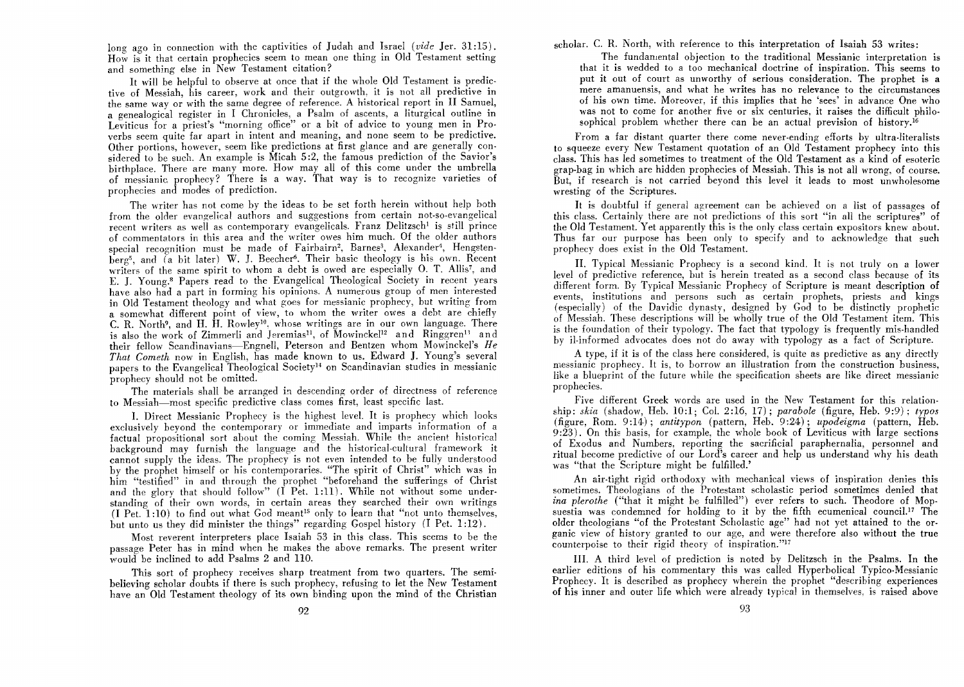long ago in connection with the captivities of Judah and Israel *(vide Jer. 31:15)*. How is it that certain prophecies seem to mean one thing in Old Testament setting and something else in New Testament citation?

It will be helpful to observe at once that if the whole Old Testament is predictive of Messiah, his career, work and their outgrowth, it is not all predictive in the same way or with the same degree of reference. A historical report in 11 Samuel, a genealogical register in I Chronicles, a Psalm of ascents, a liturgical outline in Leviticus for a priest's "morning office" or a bit of advice to young men in Proverbs seem quite far apart in intent and meaning, and none seem to be predictive. Other portions, however, seem like predictions at first glance and are generally considered to be such. An example is Micah 5:2, the famous prediction of the Savior's birthplace. There are many more. How may all of this come under the umbrella of messianic, prophecy? There is a way. That way is to recognize varieties of prophecies and modes of prediction.

The writer has not come by the ideas to be set forth herein without help both from the older evangelical authors and suggestions from certain not-so-evangelical recent writers as well as contemporary evangelicals. Franz Delitzsch<sup>1</sup> is still prince of commentators in this area and the writer owes him much. Of the older authors special recognition must be made of Fairbairn<sup>2</sup>, Barnes<sup>3</sup>, Alexander<sup>4</sup>, Hengstenberg<sup>5</sup>, and (a bit later) W. J. Beecher<sup>6</sup>. Their basic theology is his own. Recent writers of the same spirit to whom a debt is owed are especially O. T. Allis<sup>7</sup>. and E. J. Young.<sup>8</sup> Papers read to the Evangelical Theological Society in recent years have also had a part in forming his opinions. A numerous group of men interested in Old Testament theology and what goes for messianic prophecy, but writing from a somewhat different point of view, to whom the writer owes a debt are chiefly C. R. North9, and H. H. Rowleylo, whose writings are in our own language. There is also the work of Zimmerli and Jeremias<sup>11</sup>, of Mowinckel<sup>12</sup> and Ringgren<sup>13</sup> and their fellow Scandinavians-Engnell, Peterson and Bentzen whom Mowinckel's He *That Cometh* now in English, has made known to us. Edward J. Young's several papers to the Evangelical Theological Societyl4 on Scandinavian studies in messianic prophecy should not be omitted.

The materials shall be arranged in descending order of directness of reference to Messiah-most specific predictive class comes first, least specific last.

I. Direct Messianic Prophecy is the highest level. It is prophecy which looks exclusively beyond the contemporary or immediate and imparts information of a factual propositional sort about the coming Messiah. While the ancient historical background may furnish the language and the historical-cultural framework it cannot supply the ideas. The prophecy is not even intended to be fully understood by the prophet himself or his contemporaries. "The spirit of Christ" which was in him "testified" in and through the prophet "beforehand the sufferings of Christ and the glory that should follow"  $(I \nvert P_{et.} 1:11)$ . While not without some understanding of their own words, in certain areas they searched their own writings  $(1$  Pet.  $1:10$ ) to find out what God meant<sup>15</sup> only to learn that "not unto themselves, but unto us they did minister the things" regarding Gospel history (I Pet. 1 :12).

Most reverent interpreters place Isaiah 53 in this class. This seems to be the passage Peter has in mind when he makes the above remarks. The present writer would be inclined to add Psalms  $2$  and  $110$ .

This sort of prophecy receives sharp treatment from two quarters. The semibelieving scholar doubts if there is such prophecy, refusing to let the New Testament have an Old Testament theology of its own binding upon the mind of the Christian scholar. C. R. North, with reference to this interpretation of Isaiah 53 writes:

The fundamental objection to the traditional Messianic interpretation is that it is wedded to a too mechanical doctrine of inspiration. This seems to put it out of court as unworthy of serious consideration. The prophet is a mere amanuensis, and what he writes has no relevance to the circumstances of his own time. Moreover, if this implies that he 'sees' in advance One who was not to come for another five or six centuries, it raises the difficult philosophical problem whether there can be an actual prevision of history.<sup>16</sup>

From a far distant quarter there come never-ending efforts by ultra-literalists to squeeze every New Testament quotation of an Old Testament prophecy into this class. This has led sometimes to treatment of the Old Testament as a kind of esoteric grap-bag in which are hidden prophecies of Messiah. This is not all wrong, of course. But, if research is not carried beyond this level it leads to most unwholesome wresting of the Scriptures.

It is doubtful if general agreement can be achieved on a list of passages of this class. Certainly there are not predictions of this sort "in all the scriptures" of the Old Testament. Yet apparently this is the only class certain expositors knew about. Thus far our purpose has been only to specify and to acknowledge that such prophecy does exist in the Old Testament.

11. Typical Messianic Prophecy is a second kind. It is not truly on a lower level of predictive reference, but is herein treated as a second class because of its different form. By Typical Messianic Prophecy of Scripture is meant description of events, institutions and persons such as certain prophets, priests and kings (especially) of the Davidic dynasty, designed by God to be distinctly prophetic of Messiah. These descriptions will be wholly true of the Old Testament item. This is the foundation of their typology. The fact that typology is frequently mis-handled by il-informed advocates does not do away with typology as a fact of Scripture.

A type, if it is of the class here considered, is quite as predictive as any directly messianic prophecy. It is, to borrow an illustration from the construction business, like a blueprint of the future while the specification sheets are like direct messianic prophecies.

Five different Greek words are used in the New Testament for this relationship: *skin* (shadow, Heb. 10:1; Col. 2:16, 17); *parabole* (figure, Heb. 9:9); *typos*  (figure, Rom. 9:14.); *antitypon* (pattern, Heb. 9:24); *upodeigma* (pattern, Heb. 9 :23). On this basis, for example, the whole book of Leviticus with large sections of Exodus and Numbers, reporting the sacrificial paraphernalia, personnel and ritual become predictive of our Lord's career and help us understand why his death was "that the Scripture might be fulfilled.'

An air-tight rigid orthodoxy with mechanical views of inspiration denies this sometimes. Theologians of the Protestant scholastic period sometimes denied that *ina plerothe* ("that it might be fulfilled") ever refers to such. Theodore of Mopsuestia was condemned for holding to it by the fifth ecumenical council.<sup>17</sup> The older theologians "of the Protestant Scholastic age" had not yet attained to the organic view of history granted to our age, and were therefore also without the true counterpoise to their rigid theory of inspiration."17

Ill. A third level of prediction is noted by Delitzsch in the Psalms. In the earlier editions of his commentary this was called Hyperbolical Typico-Messianic Prophecy. It is described as prophecy wherein the prophet "describing experiences of his inner and outer life which were already typical in themselves, is raised above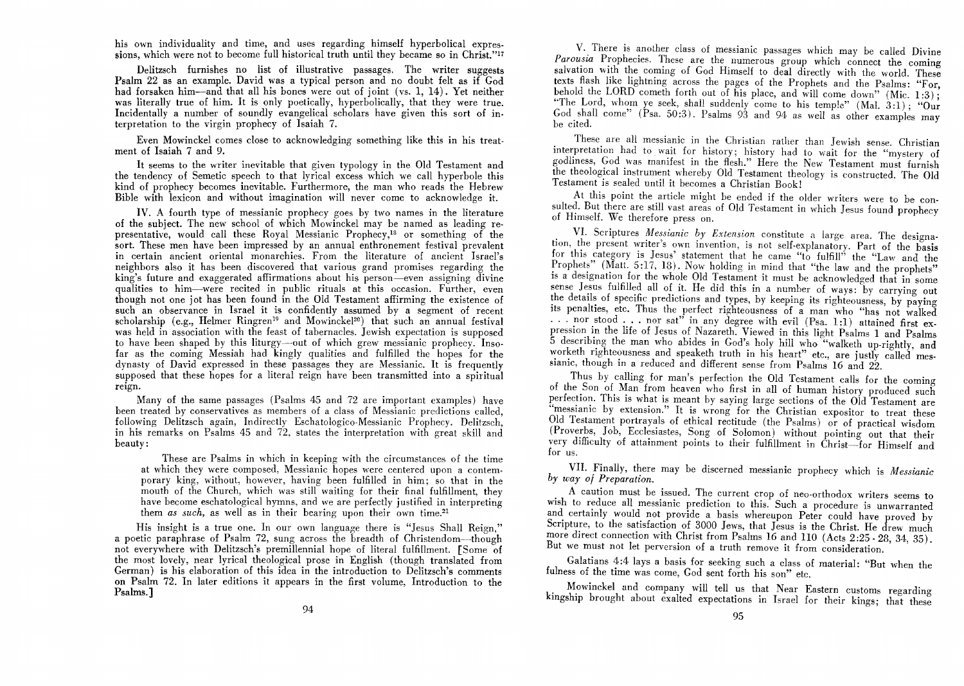his own individuality and time, and uses regarding himself hyperbolical expressions, which were not to become full historical truth until they became so in Christ."<sup>17</sup>

Delitzsch furnishes no list of illustrative passages. The writer suggests Psalm 22 as an example. David was a typical person and no doubt felt as if God had forsaken him-and that all his bones were out of joint (vs. 1, 14). Yet neither was literally true of him. It is only poetically, hyperbolically, that they were true. Incidentally a number of soundly evangelical scholars have given this sort of in· terpretation to the virgin prophecy of Isaiah 7.

Even Mowinckel comes close to acknowledging something like this in his treatment of Isaiah 7 and 9.

It seems to the writer inevitable that given typology in the Old Testament and the tendency of Semetic speech to that lyrical excess which we call hyperbole this kind of prophecy becomes inevitable. Furthermore, the man who reads the Hebrew Bible with lexicon and without imagination will never come to acknowledge it.

IV. A fourth type of messianic prophecy goes by two names in the literature of the subject. The new school of which Mowinckel may be named as leading representative, would call these Royal Messianic Prophecy,I8 or something of the sort. These men have been impressed by an annual enthronement festival prevalent in certain ancient oriental monarchies. From the literature of ancient Israel's neighbors also it has been discovered that various grand promises regarding the king's future and exaggerated affirmations about his person—even assigning divine qualities to him-were recited in public rituals at this occasion. Further, even though not one jot has been found in the Old Testament affirming the existence of such an observance in Israel it is confidently assumed by a segment of recent scholarship (e.g., Helmer Ringren<sup>19</sup> and Mowinckel<sup>20</sup>) that such an annual festival was held in association with the feast of tabernacles. Jewish expectation is supposed to have been shaped by this liturgy-out of which grew messianic prophecy. Insofar as the coming Messiah had kingly qualities and fulfilled the hopes for the dynasty of David expressed in these passages they are Messianic. It is frequently supposed that these hopes for a literal reign have been transmitted into a spiritual reign.

Many of the same passages (Psalms 45 and 72 are important examples) have been treated by conservatives as members of a class of Messianic predictions called, following Delitzsch again, Indirectly Eschatologico-Messianic Prophecy. Delitzsch, in his remarks on Psalms 45 and 72, states the interpretation with great skill and beauty:

These are Psalms in which in keeping with the circumstances of the time at which they were composed, Messianic hopes were centered upon a contemporary king, without, however, having been fulfilled in him; so that in the mouth of the Church, which was still waiting for their final fulfillment, they have become eschatological hymns, and we are perfectly justified in interpreting them *as such*, as well as in their bearing upon their own time.<sup>21</sup>

His insight is a true one. In our own language there is "Jesus Shall Reign," a poetic paraphrase of Psalm 72, sung across the breadth of Christendom-though not everywhere with Delitzsch's premillennial hope of literal fulfillment. [Some of the most lovely, near lyrical theological prose in English (though translated from German) is his elaboration of this idea in the introduction to Delitzsch's comments on Psalm 72. In later editions it appears in the first volume, Introduction to the Psalms.]

V. There is another class of messianic passages which may be called Divine Parousia Prophecies. These are the numerous group which connect the coming salvation with the coming of God Himself to deal directly with the world. These texts flash like lightning across the pages of the Prophets and the Psalms: "For, behold the LORD cometh forth out of his place, and will come down" (Mic. 1:3); "The Lord, whom ye seek, shall suddenly come to his temple" (Mal.  $3:1$ ); "Our God shall come" (Psa. 50:3). Psalms 93 and 94 as well as other examples may be cited.

These are all messianic in the Christian rather than Jewish sense. Christian interpretation had to wait for history; history had to wait for the "mystery of godliness, God was manifest in the flesh." Here the New Testament must furnish the theological instrument whereby Old Testament theology is constructed. The Old Testament is sealed until it becomes a Christian Book!

At this point the article might be ended if the older writers were to be consulted. But there are still vast areas of Old Testament in which Jesus found prophecy of Himself. We therefore press on.

VI. Scriptures *Messianic by Extension* constitute a large area. The designation, the present writer's own invention, is not self-explanatory. Part of the basis for this category is Jesus' statement that he came "to fulfill" the "Law and the Prophets" (Matt. 5:17, 18). Now holding in mind that "the law and the prophets" is a designation for the whole Old Testament it must be acknowledged that in some sense Jesus fulfilled all of it. He did this in a number of ways: by carrying out the details of specific predictions and types, by keeping its righteousness, by paying its penalties, etc. Thus the perfect righteousness of a man who "has not walked ... nor stood ... nor sat" in any degree with evil (Psa. 1:1) attained first expression in the life of Jesus of Nazareth. Viewed in this light Psalms 1 and Psalms 5 describing the man who abides in God's holy hill who "walketh up-rightly, and worketh righteousness and speaketh truth in his heart" etc., are justly called messianic, though in a reduced and different sense from Psalms 16 and 22.

Thus by calling for man's perfection the Old Testament calls for the coming of the Son of Man from heaven who first in all of human history produced such perfection. This is what is meant by saying large sections of the Old Testament are "messianic by extension." It is wrong for the Christian expositor to treat these Old Testament portrayals of ethical rectitude (the Psalms) or of practical wisdom (Proverbs, Job, Ecclesiastes, Song of Solomon) without pointing out that their very dIfficulty of attainment points to their fulfillment in Christ-for Himself and for us.

VII. Finally, there may be discerned messianic prophecy which is *Messianic by way of Preparation.* 

. A caution must be issued. The current crop of neo-orthodox writers seems to wish to reduce all messianic prediction to this. Such a procedure is unwarranted and certainly would not provide a basis whereupon Peter could have proved by Scripture, to the satisfaction of 3000 Jews, that Jesus is the Christ. He drew much more direct connection with Christ from Psalms 16 and 110 (Acts 2:25 - 28, 34, 35). But we must not let perversion of a truth remove it from consideration.

Galatians 4:4 lays a basis for seeking such a class of material: "But when the fulness of the time was come, God sent forth his son" etc.

Mowinckel and company will tell us that Near Eastern customs regarding kingship brought about exalted expectations in Israel for their kings; that these